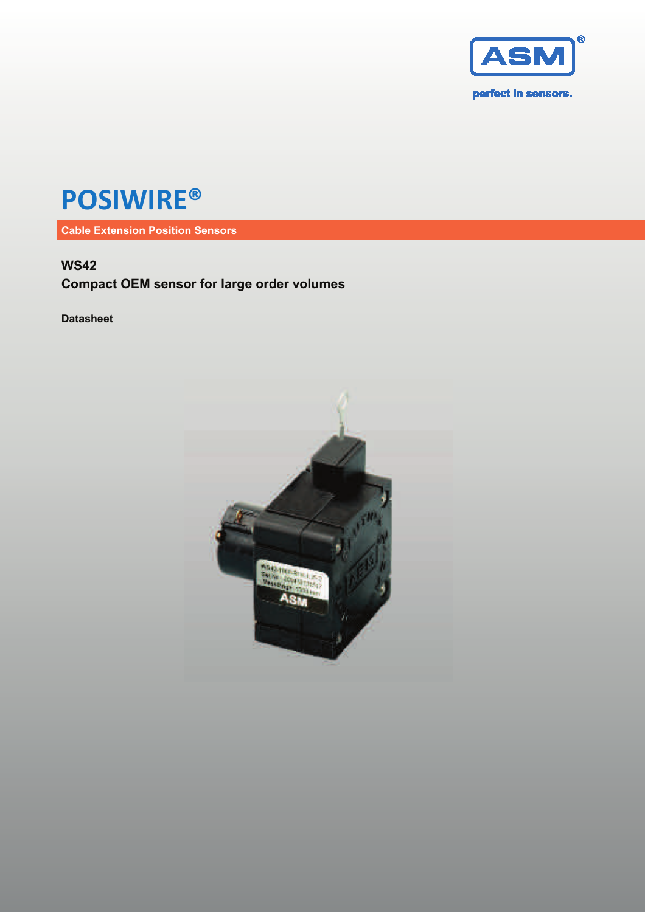

# **POSIWIRE®**

**Cable Extension Position Sensors**

### **WS42**

**Compact OEM sensor for large order volumes** 

**Datasheet** 

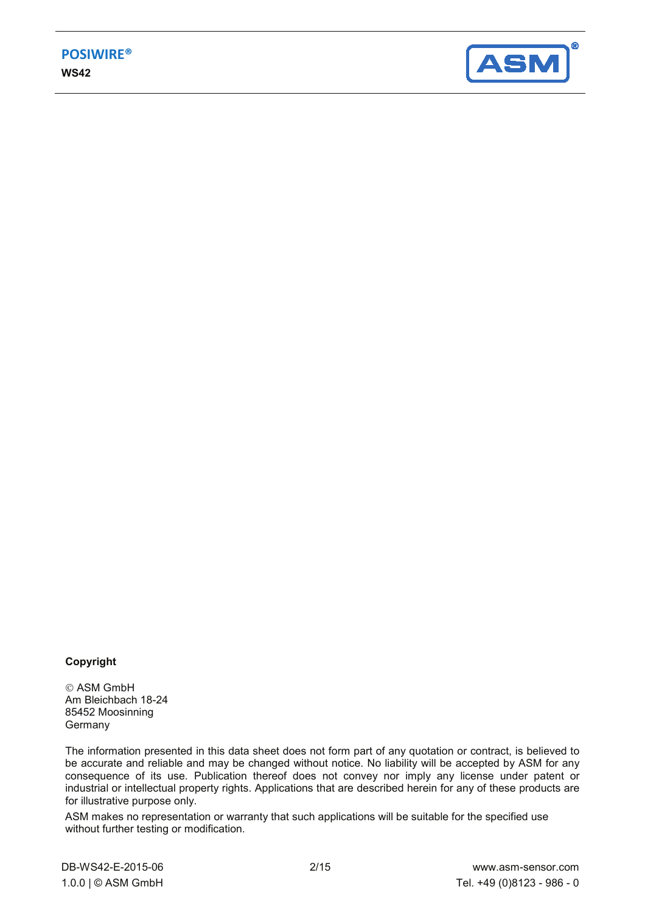

#### **Copyright**

 ASM GmbH Am Bleichbach 18-24 85452 Moosinning **Germany** 

The information presented in this data sheet does not form part of any quotation or contract, is believed to be accurate and reliable and may be changed without notice. No liability will be accepted by ASM for any consequence of its use. Publication thereof does not convey nor imply any license under patent or industrial or intellectual property rights. Applications that are described herein for any of these products are for illustrative purpose only.

ASM makes no representation or warranty that such applications will be suitable for the specified use without further testing or modification.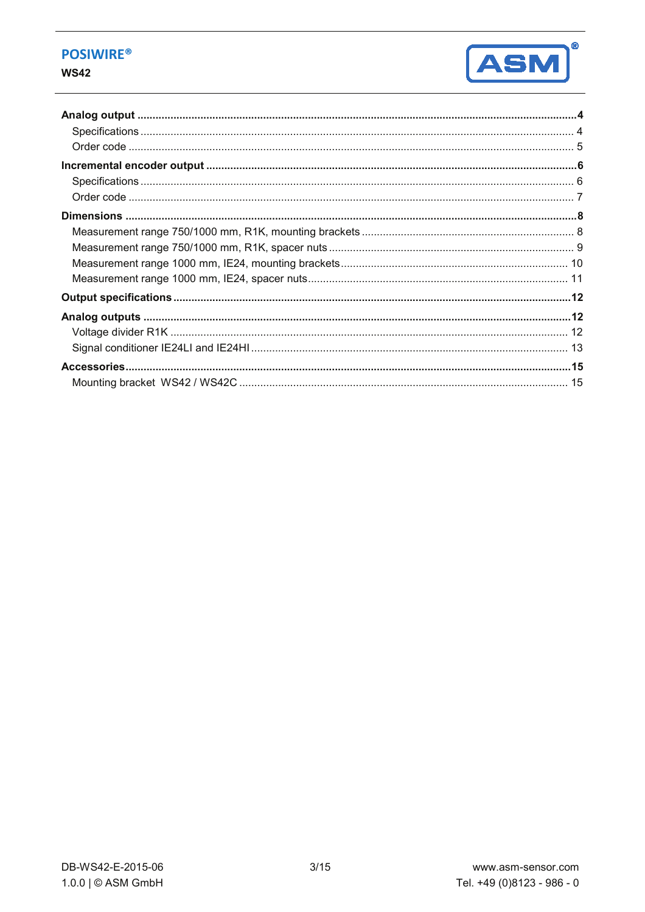### **POSIWIRE®**

#### **WS42**

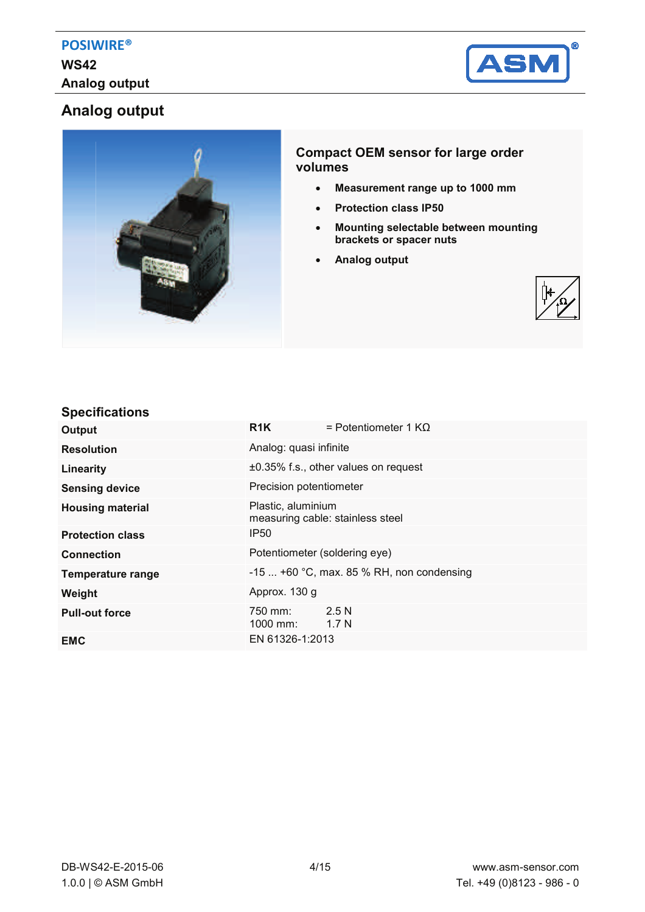

# **Analog output**



### **Compact OEM sensor for large order volumes**

- x **Measurement range up to 1000 mm**
- x **Protection class IP50**
- **Mounting selectable between mounting brackets or spacer nuts**
- x **Analog output**



### **Specifications**

| Output                   | R1K                           | = Potentiometer 1 $K\Omega$                |
|--------------------------|-------------------------------|--------------------------------------------|
| <b>Resolution</b>        | Analog: quasi infinite        |                                            |
| Linearity                |                               | ±0.35% f.s., other values on request       |
| <b>Sensing device</b>    | Precision potentiometer       |                                            |
| <b>Housing material</b>  | Plastic, aluminium            | measuring cable: stainless steel           |
| <b>Protection class</b>  | <b>IP50</b>                   |                                            |
| <b>Connection</b>        | Potentiometer (soldering eye) |                                            |
| <b>Temperature range</b> |                               | $-15$ +60 °C, max. 85 % RH, non condensing |
| Weight                   | Approx. 130 g                 |                                            |
| <b>Pull-out force</b>    | 750 mm:<br>1000 mm:           | 2.5N<br>1.7N                               |
| <b>EMC</b>               | EN 61326-1:2013               |                                            |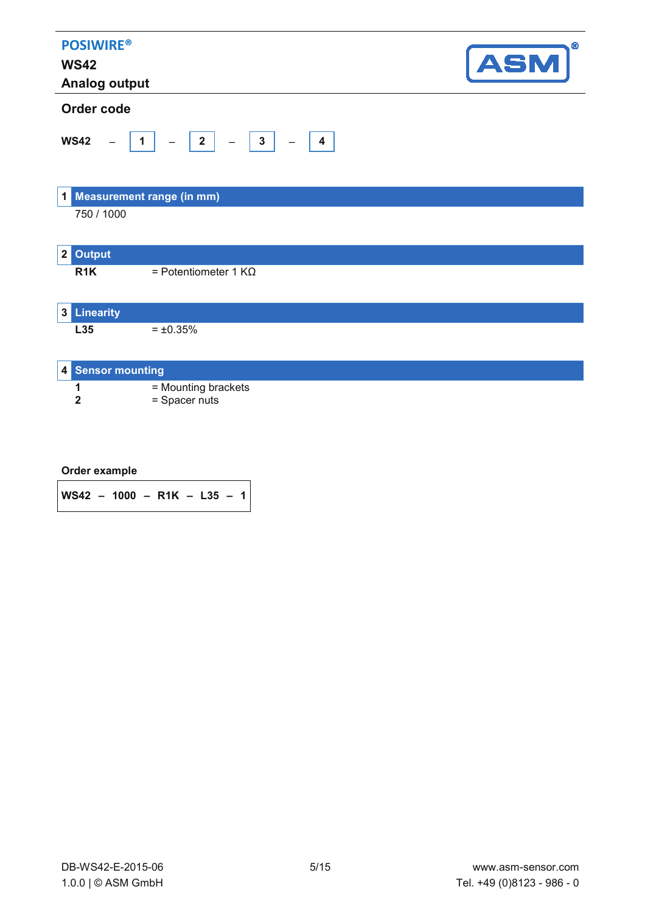| <b>POSIWIRE®</b><br><b>WS42</b><br><b>Analog output</b> |                                                                                              | $^{\circ}$<br><b>ASM</b> |
|---------------------------------------------------------|----------------------------------------------------------------------------------------------|--------------------------|
| Order code                                              |                                                                                              |                          |
| <b>WS42</b>                                             | $\begin{pmatrix} 3 \end{pmatrix}$<br>$\sqrt{2}$<br>$\overline{1}$<br>$\overline{\mathbf{4}}$ |                          |
| $1\vert$                                                | Measurement range (in mm)                                                                    |                          |
| 750 / 1000                                              |                                                                                              |                          |
| <b>Output</b><br>2 <sup>2</sup>                         |                                                                                              |                          |
| R <sub>1</sub> K                                        | = Potentiometer 1 KΩ                                                                         |                          |
| <b>3</b> Linearity                                      |                                                                                              |                          |
| L35                                                     | $= \pm 0.35\%$                                                                               |                          |
| <b>Sensor mounting</b><br>4                             |                                                                                              |                          |
| 1<br>$\mathbf{2}$                                       | = Mounting brackets<br>= Spacer nuts                                                         |                          |

|  | Order example |
|--|---------------|
|--|---------------|

**WS42 – 1000 – R1K – L35 – 1**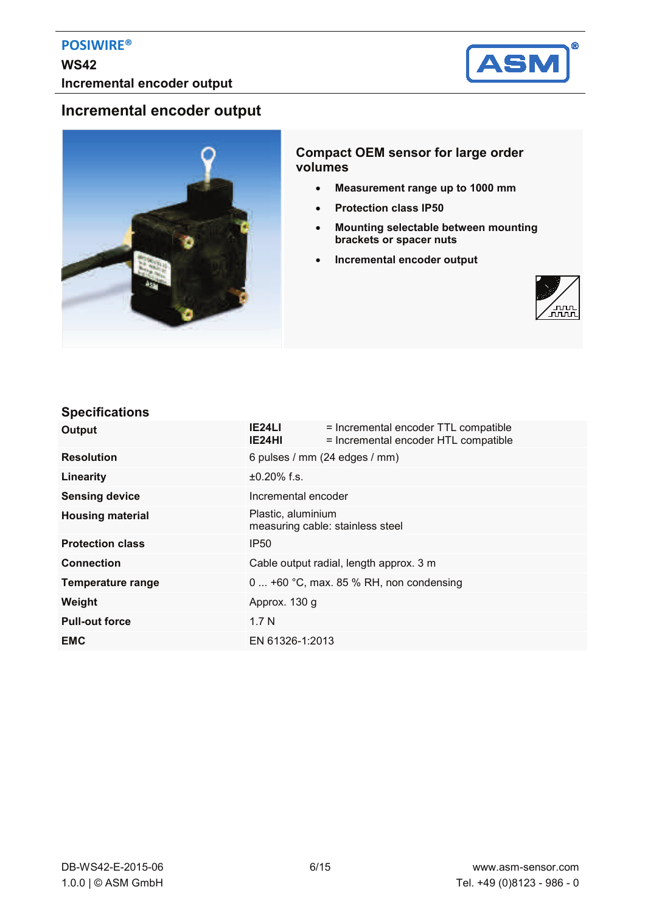

### **Incremental encoder output**



### **Compact OEM sensor for large order volumes**

- x **Measurement range up to 1000 mm**
- x **Protection class IP50**
- x **Mounting selectable between mounting brackets or spacer nuts**
- **•** Incremental encoder output



### **Specifications**

| Output                   | IE24LI<br>IE24HI                        | = Incremental encoder TTL compatible<br>= Incremental encoder HTL compatible |
|--------------------------|-----------------------------------------|------------------------------------------------------------------------------|
| <b>Resolution</b>        |                                         | 6 pulses / mm (24 edges / mm)                                                |
| Linearity                | $±0.20\%$ f.s.                          |                                                                              |
| <b>Sensing device</b>    | Incremental encoder                     |                                                                              |
| <b>Housing material</b>  | Plastic, aluminium                      | measuring cable: stainless steel                                             |
| <b>Protection class</b>  | <b>IP50</b>                             |                                                                              |
| <b>Connection</b>        | Cable output radial, length approx. 3 m |                                                                              |
| <b>Temperature range</b> |                                         | 0  +60 °C, max. 85 % RH, non condensing                                      |
| Weight                   | Approx. 130 g                           |                                                                              |
| <b>Pull-out force</b>    | 1.7 <sub>N</sub>                        |                                                                              |
| <b>EMC</b>               | EN 61326-1:2013                         |                                                                              |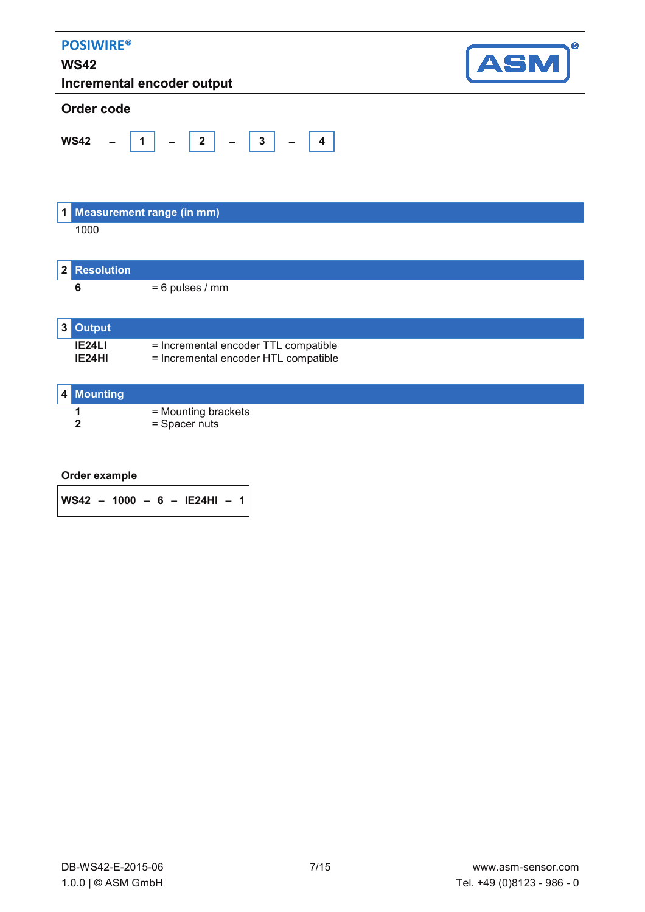| <b>POSIWIRE®</b><br><b>WS42</b> | Incremental encoder output                                                   | ®<br><b>ASM</b> |
|---------------------------------|------------------------------------------------------------------------------|-----------------|
| Order code                      |                                                                              |                 |
| <b>WS42</b><br>$\overline{1}$   | $-$ 3                                                                        |                 |
| 1 Measurement range (in mm)     |                                                                              |                 |
| 1000                            |                                                                              |                 |
| <b>Resolution</b><br>2          |                                                                              |                 |
| 6                               | $= 6$ pulses / mm                                                            |                 |
| <b>Output</b><br>3              |                                                                              |                 |
| IE <sub>24</sub> LI<br>IE24HI   | = Incremental encoder TTL compatible<br>= Incremental encoder HTL compatible |                 |
| 4 Mounting                      |                                                                              |                 |
| 1<br>2                          | = Mounting brackets<br>= Spacer nuts                                         |                 |

**WS42 – 1000 – 6 – IE24HI – 1**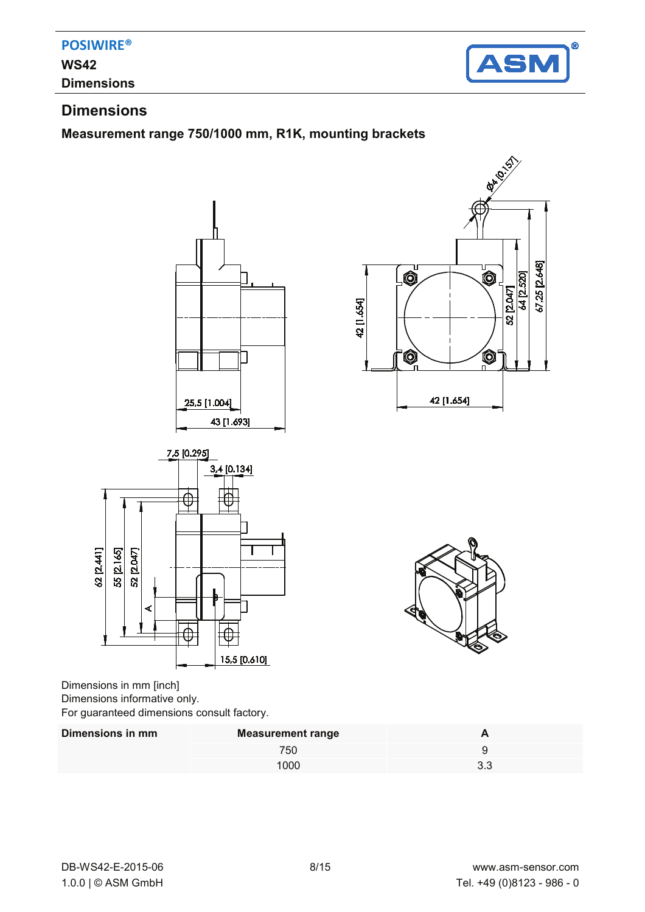

### **Dimensions**

## **Dimensions**

### **Measurement range 750/1000 mm, R1K, mounting brackets**







Dimensions in mm [inch] Dimensions informative only. For guaranteed dimensions consult factory.

| Dimensions in mm | <b>Measurement range</b> |  |
|------------------|--------------------------|--|
|                  | 750                      |  |
|                  | 1000                     |  |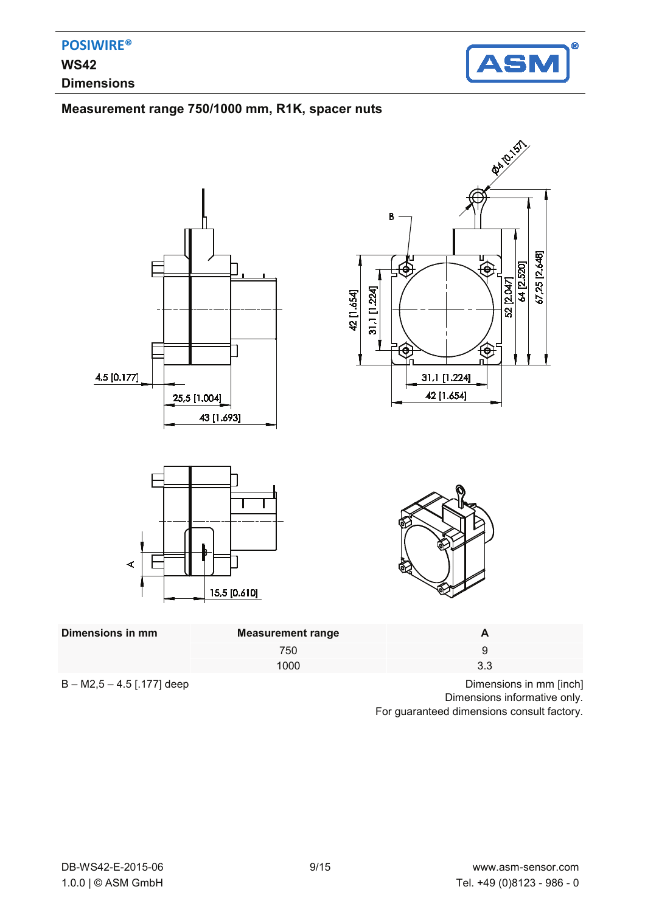

### **Measurement range 750/1000 mm, R1K, spacer nuts**



| Dimensions in mm | Measurement range |                                                                           |        |
|------------------|-------------------|---------------------------------------------------------------------------|--------|
|                  | 750               |                                                                           |        |
|                  | 1000              | 3.3                                                                       |        |
| -----<br>.       |                   | $ -$<br>$\sim$ $\sim$ $\sim$ $\sim$ $\sim$ $\sim$ $\sim$<br>$\sim$ $\sim$ | -- - - |

 $B - M2, 5 - 4.5$  [.177] deep Dimensions in mm [inch] Dimensions informative only. For guaranteed dimensions consult factory.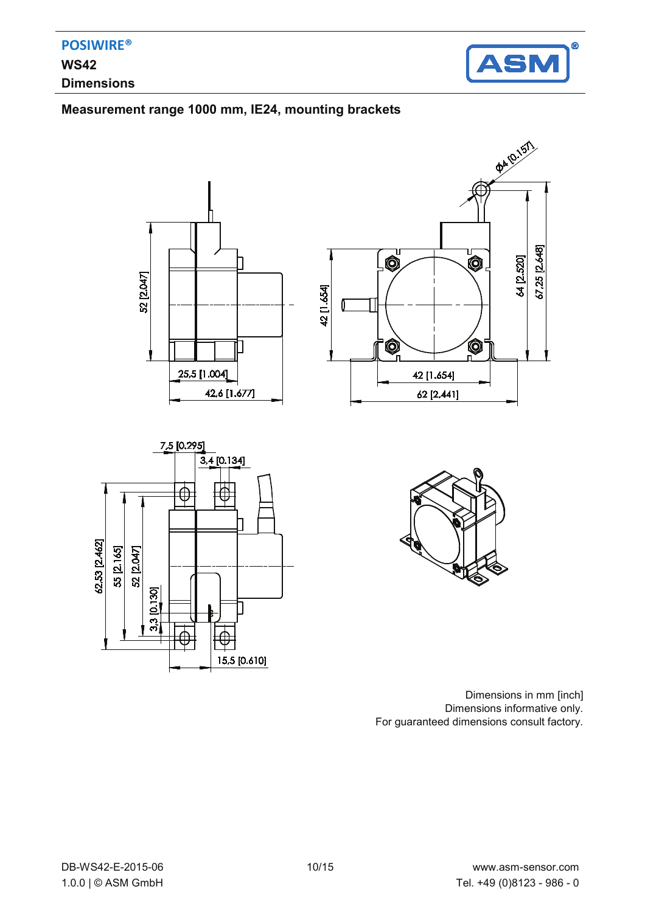

### **Measurement range 1000 mm, IE24, mounting brackets**









Dimensions in mm [inch] Dimensions informative only. For guaranteed dimensions consult factory.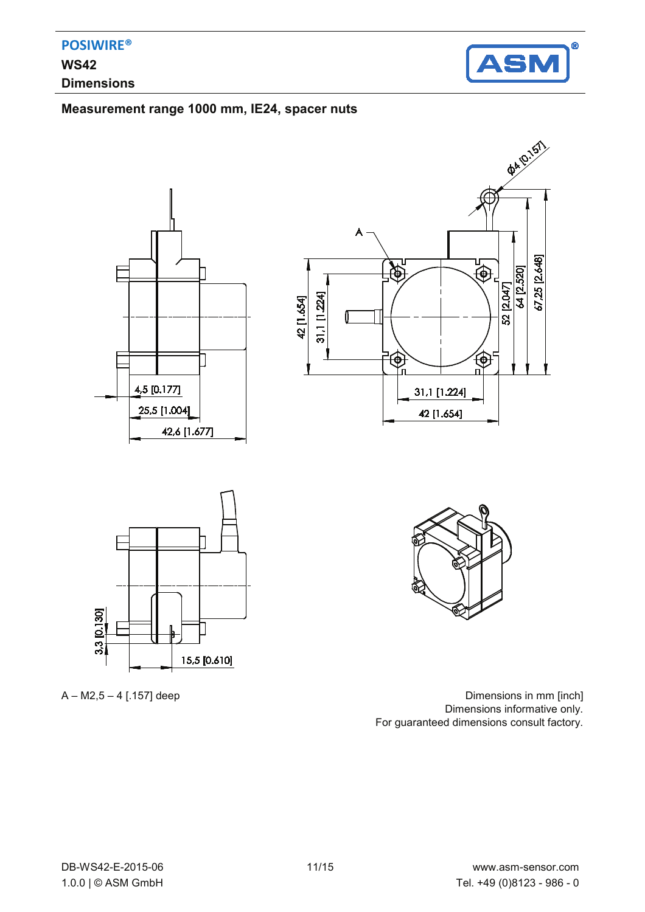

### **Measurement range 1000 mm, IE24, spacer nuts**









 $A - M2, 5 - 4$  [.157] deep Dimensions in mm [inch] Dimensions informative only. For guaranteed dimensions consult factory.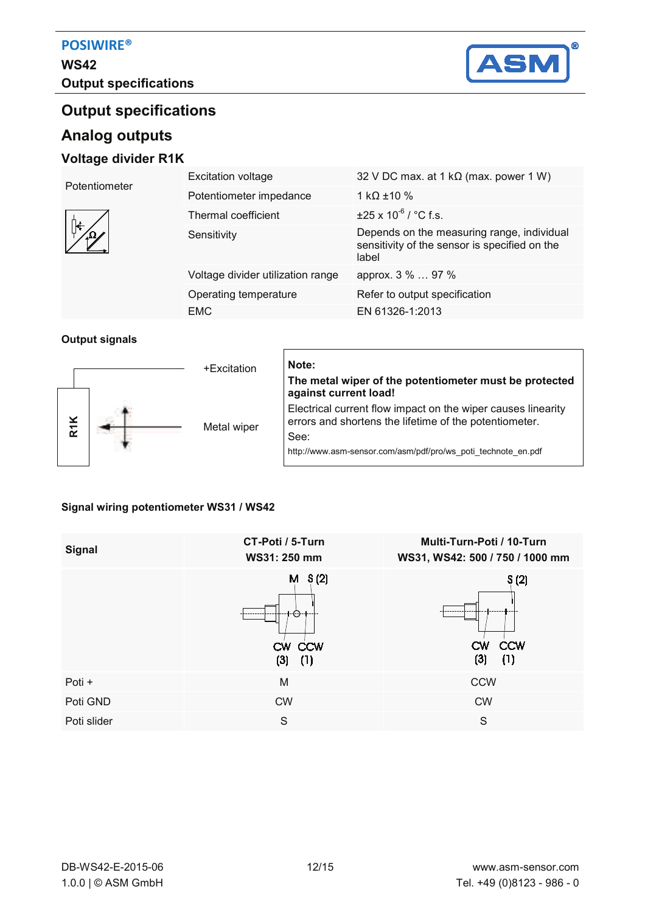# **WS42 Output specifications**



# **Output specifications**

## **Analog outputs**

### **Voltage divider R1K**

| Potentiometer | <b>Excitation voltage</b>         | 32 V DC max. at 1 k $\Omega$ (max. power 1 W)                                                        |
|---------------|-----------------------------------|------------------------------------------------------------------------------------------------------|
|               | Potentiometer impedance           | 1 kQ $\pm$ 10 %                                                                                      |
|               | Thermal coefficient               | $\pm$ 25 x 10 <sup>-6</sup> / °C f.s.                                                                |
|               | Sensitivity                       | Depends on the measuring range, individual<br>sensitivity of the sensor is specified on the<br>label |
|               | Voltage divider utilization range | approx. 3 %  97 %                                                                                    |
|               | Operating temperature             | Refer to output specification                                                                        |
|               | EMC                               | EN 61326-1:2013                                                                                      |

#### **Output signals**



# **The metal wiper of the potentiometer must be protected against current load!**  Electrical current flow impact on the wiper causes linearity errors and shortens the lifetime of the potentiometer. See:

http://www.asm-sensor.com/asm/pdf/pro/ws\_poti\_technote\_en.pdf

### **Signal wiring potentiometer WS31 / WS42**

| <b>Signal</b> | CT-Poti / 5-Turn<br>WS31: 250 mm | Multi-Turn-Poti / 10-Turn<br>WS31, WS42: 500 / 750 / 1000 mm |
|---------------|----------------------------------|--------------------------------------------------------------|
|               | $M$ S(2)<br>CW CCW<br>(3)<br>(1) | S(2)<br><b>CCW</b><br>CW<br>(3)<br>(1)                       |
| Poti +        | M                                | <b>CCW</b>                                                   |
| Poti GND      | <b>CW</b>                        | <b>CW</b>                                                    |
| Poti slider   | S                                | S                                                            |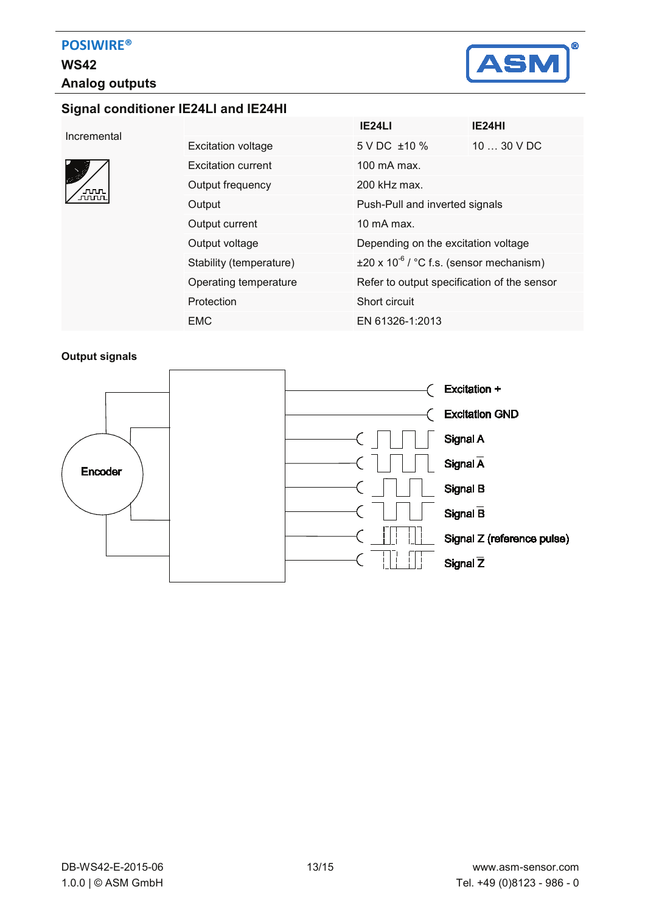

### **Signal conditioner IE24LI and IE24HI**

| Incremental |  |
|-------------|--|

| տար<br>տար |  |
|------------|--|
|            |  |

|                           | IE24LI                                               | IE24HI      |
|---------------------------|------------------------------------------------------|-------------|
| <b>Excitation voltage</b> | $5 \text{ V}$ DC $\pm 10 \%$                         | $1030$ V DC |
| Excitation current        | 100 mA max.                                          |             |
| Output frequency          | $200$ kHz max.                                       |             |
| Output                    | Push-Pull and inverted signals                       |             |
| Output current            | 10 $mA$ max.                                         |             |
| Output voltage            | Depending on the excitation voltage                  |             |
| Stability (temperature)   | $\pm 20 \times 10^{-6}$ / °C f.s. (sensor mechanism) |             |
| Operating temperature     | Refer to output specification of the sensor          |             |
| Protection                | Short circuit                                        |             |
| <b>EMC</b>                | EN 61326-1:2013                                      |             |
|                           |                                                      |             |

#### **Output signals**

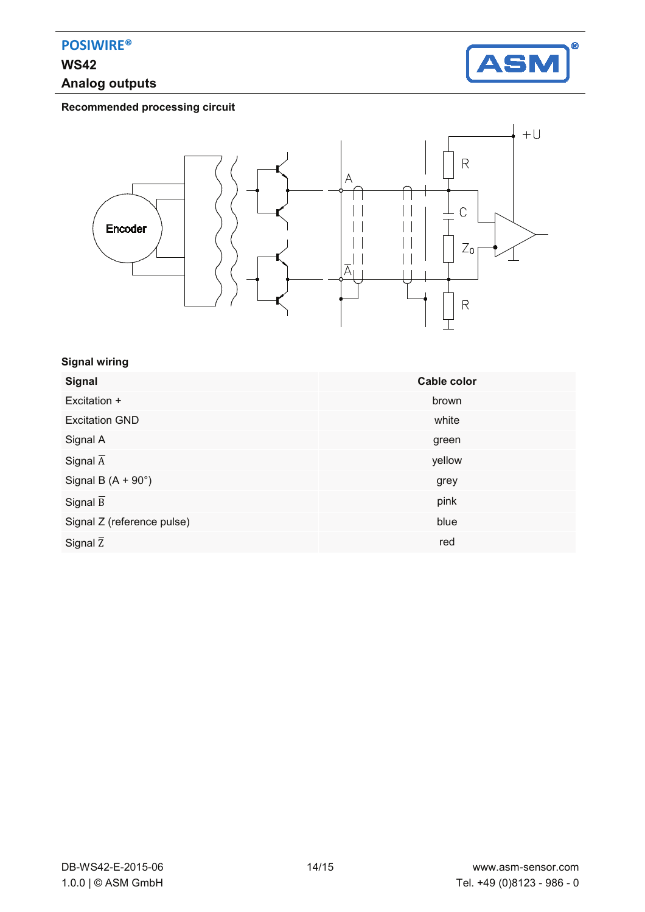# **WS42 Analog outputs**



**Recommended processing circuit** 



#### **Signal wiring**

| <b>Signal</b>              | Cable color |
|----------------------------|-------------|
| Excitation +               | brown       |
| <b>Excitation GND</b>      | white       |
| Signal A                   | green       |
| Signal $\overline{A}$      | yellow      |
| Signal B $(A + 90^\circ)$  | grey        |
| Signal $\overline{B}$      | pink        |
| Signal Z (reference pulse) | blue        |
| Signal $\overline{z}$      | red         |